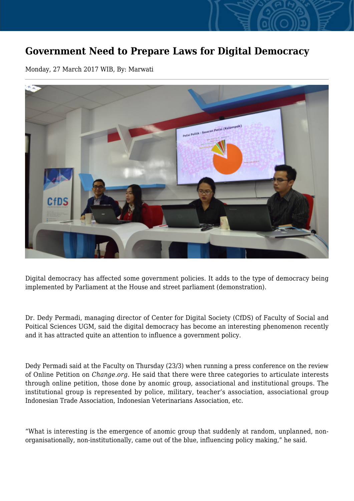## **Government Need to Prepare Laws for Digital Democracy**

Monday, 27 March 2017 WIB, By: Marwati



Digital democracy has affected some government policies. It adds to the type of democracy being implemented by Parliament at the House and street parliament (demonstration).

Dr. Dedy Permadi, managing director of Center for Digital Society (CfDS) of Faculty of Social and Poitical Sciences UGM, said the digital democracy has become an interesting phenomenon recently and it has attracted quite an attention to influence a government policy.

Dedy Permadi said at the Faculty on Thursday (23/3) when running a press conference on the review of Online Petition on *Change.org.* He said that there were three categories to articulate interests through online petition, those done by anomic group, associational and institutional groups. The institutional group is represented by police, military, teacher's association, associational group Indonesian Trade Association, Indonesian Veterinarians Association, etc.

"What is interesting is the emergence of anomic group that suddenly at random, unplanned, nonorganisationally, non-institutionally, came out of the blue, influencing policy making," he said.